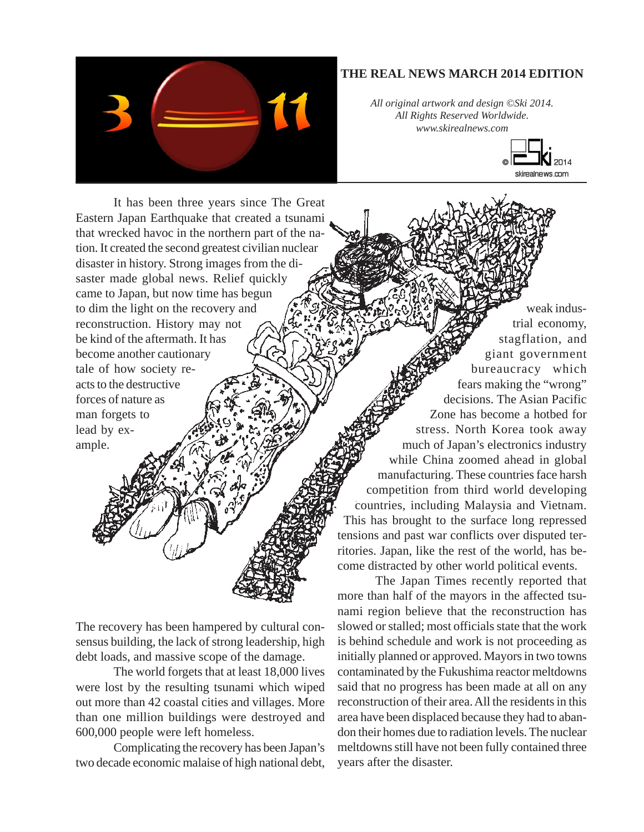

## **THE REAL NEWS MARCH 2014 EDITION**

*All original artwork and design ©Ski 2014. All Rights Reserved Worldwide. www.skirealnews.com*



It has been three years since The Great Eastern Japan Earthquake that created a tsunami that wrecked havoc in the northern part of the nation. It created the second greatest civilian nuclear disaster in history. Strong images from the disaster made global news. Relief quickly came to Japan, but now time has begun to dim the light on the recovery and reconstruction. History may not be kind of the aftermath. It has become another cautionary tale of how society reacts to the destructive forces of nature as man forgets to lead by example.

The recovery has been hampered by cultural consensus building, the lack of strong leadership, high debt loads, and massive scope of the damage.

The world forgets that at least 18,000 lives were lost by the resulting tsunami which wiped out more than 42 coastal cities and villages. More than one million buildings were destroyed and 600,000 people were left homeless.

Complicating the recovery has been Japan's two decade economic malaise of high national debt,

weak industrial economy, stagflation, and giant government bureaucracy which fears making the "wrong" decisions. The Asian Pacific Zone has become a hotbed for stress. North Korea took away much of Japan's electronics industry while China zoomed ahead in global manufacturing. These countries face harsh competition from third world developing countries, including Malaysia and Vietnam. This has brought to the surface long repressed tensions and past war conflicts over disputed territories. Japan, like the rest of the world, has become distracted by other world political events.

The Japan Times recently reported that more than half of the mayors in the affected tsunami region believe that the reconstruction has slowed or stalled; most officials state that the work is behind schedule and work is not proceeding as initially planned or approved. Mayors in two towns contaminated by the Fukushima reactor meltdowns said that no progress has been made at all on any reconstruction of their area. All the residents in this area have been displaced because they had to abandon their homes due to radiation levels. The nuclear meltdowns still have not been fully contained three years after the disaster.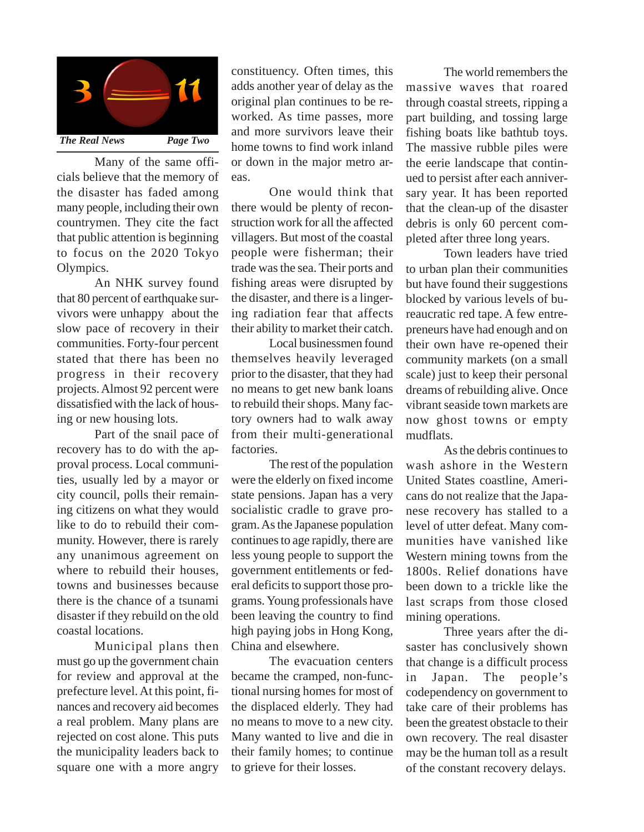

Many of the same officials believe that the memory of the disaster has faded among many people, including their own countrymen. They cite the fact that public attention is beginning to focus on the 2020 Tokyo Olympics.

An NHK survey found that 80 percent of earthquake survivors were unhappy about the slow pace of recovery in their communities. Forty-four percent stated that there has been no progress in their recovery projects. Almost 92 percent were dissatisfied with the lack of housing or new housing lots.

Part of the snail pace of recovery has to do with the approval process. Local communities, usually led by a mayor or city council, polls their remaining citizens on what they would like to do to rebuild their community. However, there is rarely any unanimous agreement on where to rebuild their houses, towns and businesses because there is the chance of a tsunami disaster if they rebuild on the old coastal locations.

Municipal plans then must go up the government chain for review and approval at the prefecture level. At this point, finances and recovery aid becomes a real problem. Many plans are rejected on cost alone. This puts the municipality leaders back to square one with a more angry

constituency. Often times, this adds another year of delay as the original plan continues to be reworked. As time passes, more and more survivors leave their home towns to find work inland or down in the major metro areas.

One would think that there would be plenty of reconstruction work for all the affected villagers. But most of the coastal people were fisherman; their trade was the sea. Their ports and fishing areas were disrupted by the disaster, and there is a lingering radiation fear that affects their ability to market their catch.

Local businessmen found themselves heavily leveraged prior to the disaster, that they had no means to get new bank loans to rebuild their shops. Many factory owners had to walk away from their multi-generational factories.

The rest of the population were the elderly on fixed income state pensions. Japan has a very socialistic cradle to grave program. As the Japanese population continues to age rapidly, there are less young people to support the government entitlements or federal deficits to support those programs. Young professionals have been leaving the country to find high paying jobs in Hong Kong, China and elsewhere.

The evacuation centers became the cramped, non-functional nursing homes for most of the displaced elderly. They had no means to move to a new city. Many wanted to live and die in their family homes; to continue to grieve for their losses.

The world remembers the massive waves that roared through coastal streets, ripping a part building, and tossing large fishing boats like bathtub toys. The massive rubble piles were the eerie landscape that continued to persist after each anniversary year. It has been reported that the clean-up of the disaster debris is only 60 percent completed after three long years.

Town leaders have tried to urban plan their communities but have found their suggestions blocked by various levels of bureaucratic red tape. A few entrepreneurs have had enough and on their own have re-opened their community markets (on a small scale) just to keep their personal dreams of rebuilding alive. Once vibrant seaside town markets are now ghost towns or empty mudflats.

As the debris continues to wash ashore in the Western United States coastline, Americans do not realize that the Japanese recovery has stalled to a level of utter defeat. Many communities have vanished like Western mining towns from the 1800s. Relief donations have been down to a trickle like the last scraps from those closed mining operations.

Three years after the disaster has conclusively shown that change is a difficult process in Japan. The people's codependency on government to take care of their problems has been the greatest obstacle to their own recovery. The real disaster may be the human toll as a result of the constant recovery delays.